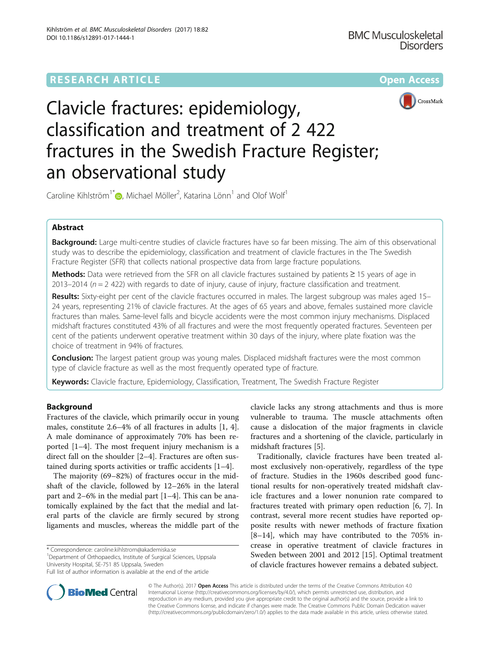

# Clavicle fractures: epidemiology, classification and treatment of 2 422 fractures in the Swedish Fracture Register; an observational study

Caroline Kihlström<sup>1\*</sup> $\textsf{D}$ [,](http://orcid.org/0000-0003-2604-1735) Michael Möller<sup>2</sup>, Katarina Lönn<sup>1</sup> and Olof Wolf<sup>1</sup>

# Abstract

Background: Large multi-centre studies of clavicle fractures have so far been missing. The aim of this observational study was to describe the epidemiology, classification and treatment of clavicle fractures in the The Swedish Fracture Register (SFR) that collects national prospective data from large fracture populations.

Methods: Data were retrieved from the SFR on all clavicle fractures sustained by patients ≥ 15 years of age in 2013–2014 ( $n = 2$  422) with regards to date of injury, cause of injury, fracture classification and treatment.

Results: Sixty-eight per cent of the clavicle fractures occurred in males. The largest subgroup was males aged 15– 24 years, representing 21% of clavicle fractures. At the ages of 65 years and above, females sustained more clavicle fractures than males. Same-level falls and bicycle accidents were the most common injury mechanisms. Displaced midshaft fractures constituted 43% of all fractures and were the most frequently operated fractures. Seventeen per cent of the patients underwent operative treatment within 30 days of the injury, where plate fixation was the choice of treatment in 94% of fractures.

**Conclusion:** The largest patient group was young males. Displaced midshaft fractures were the most common type of clavicle fracture as well as the most frequently operated type of fracture.

Keywords: Clavicle fracture, Epidemiology, Classification, Treatment, The Swedish Fracture Register

# Background

Fractures of the clavicle, which primarily occur in young males, constitute 2.6–4% of all fractures in adults [[1, 4](#page-8-0)]. A male dominance of approximately 70% has been reported [\[1](#page-8-0)–[4](#page-8-0)]. The most frequent injury mechanism is a direct fall on the shoulder [[2](#page-8-0)–[4](#page-8-0)]. Fractures are often sustained during sports activities or traffic accidents [\[1](#page-8-0)–[4](#page-8-0)].

The majority (69–82%) of fractures occur in the midshaft of the clavicle, followed by 12–26% in the lateral part and 2–6% in the medial part [\[1](#page-8-0)–[4](#page-8-0)]. This can be anatomically explained by the fact that the medial and lateral parts of the clavicle are firmly secured by strong ligaments and muscles, whereas the middle part of the

\* Correspondence: [caroline.kihlstrom@akademiska.se](mailto:caroline.kihlstrom@akademiska.se) <sup>1</sup>

<sup>1</sup>Department of Orthopaedics, Institute of Surgical Sciences, Uppsala University Hospital, SE-751 85 Uppsala, Sweden

clavicle lacks any strong attachments and thus is more vulnerable to trauma. The muscle attachments often cause a dislocation of the major fragments in clavicle fractures and a shortening of the clavicle, particularly in midshaft fractures [[5\]](#page-8-0).

Traditionally, clavicle fractures have been treated almost exclusively non-operatively, regardless of the type of fracture. Studies in the 1960s described good functional results for non-operatively treated midshaft clavicle fractures and a lower nonunion rate compared to fractures treated with primary open reduction [[6, 7\]](#page-8-0). In contrast, several more recent studies have reported opposite results with newer methods of fracture fixation [[8](#page-8-0)–[14\]](#page-8-0), which may have contributed to the 705% increase in operative treatment of clavicle fractures in Sweden between 2001 and 2012 [\[15](#page-8-0)]. Optimal treatment of clavicle fractures however remains a debated subject.



© The Author(s). 2017 **Open Access** This article is distributed under the terms of the Creative Commons Attribution 4.0 International License [\(http://creativecommons.org/licenses/by/4.0/](http://creativecommons.org/licenses/by/4.0/)), which permits unrestricted use, distribution, and reproduction in any medium, provided you give appropriate credit to the original author(s) and the source, provide a link to the Creative Commons license, and indicate if changes were made. The Creative Commons Public Domain Dedication waiver [\(http://creativecommons.org/publicdomain/zero/1.0/](http://creativecommons.org/publicdomain/zero/1.0/)) applies to the data made available in this article, unless otherwise stated.

Full list of author information is available at the end of the article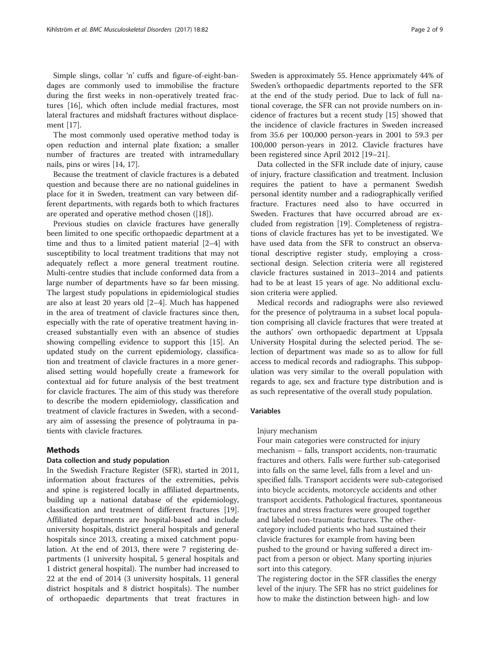The most commonly used operative method today is open reduction and internal plate fixation; a smaller number of fractures are treated with intramedullary nails, pins or wires [[14, 17](#page-8-0)].

Because the treatment of clavicle fractures is a debated question and because there are no national guidelines in place for it in Sweden, treatment can vary between different departments, with regards both to which fractures are operated and operative method chosen ([[18\]](#page-8-0)).

Previous studies on clavicle fractures have generally been limited to one specific orthopaedic department at a time and thus to a limited patient material [\[2](#page-8-0)–[4](#page-8-0)] with susceptibility to local treatment traditions that may not adequately reflect a more general treatment routine. Multi-centre studies that include conformed data from a large number of departments have so far been missing. The largest study populations in epidemiological studies are also at least 20 years old [[2](#page-8-0)–[4\]](#page-8-0). Much has happened in the area of treatment of clavicle fractures since then, especially with the rate of operative treatment having increased substantially even with an absence of studies showing compelling evidence to support this [\[15\]](#page-8-0). An updated study on the current epidemiology, classification and treatment of clavicle fractures in a more generalised setting would hopefully create a framework for contextual aid for future analysis of the best treatment for clavicle fractures. The aim of this study was therefore to describe the modern epidemiology, classification and treatment of clavicle fractures in Sweden, with a secondary aim of assessing the presence of polytrauma in patients with clavicle fractures.

# Methods

### Data collection and study population

In the Swedish Fracture Register (SFR), started in 2011, information about fractures of the extremities, pelvis and spine is registered locally in affiliated departments, building up a national database of the epidemiology, classification and treatment of different fractures [\[19](#page-8-0)]. Affiliated departments are hospital-based and include university hospitals, district general hospitals and general hospitals since 2013, creating a mixed catchment population. At the end of 2013, there were 7 registering departments (1 university hospital, 5 general hospitals and 1 district general hospital). The number had increased to 22 at the end of 2014 (3 university hospitals, 11 general district hospitals and 8 district hospitals). The number of orthopaedic departments that treat fractures in Sweden is approximately 55. Hence apprixmately 44% of Sweden's orthopaedic departments reported to the SFR at the end of the study period. Due to lack of full national coverage, the SFR can not provide numbers on incidence of fractures but a recent study [[15\]](#page-8-0) showed that the incidence of clavicle fractures in Sweden increased from 35.6 per 100,000 person-years in 2001 to 59.3 per 100,000 person-years in 2012. Clavicle fractures have been registered since April 2012 [\[19](#page-8-0)–[21\]](#page-8-0).

Data collected in the SFR include date of injury, cause of injury, fracture classification and treatment. Inclusion requires the patient to have a permanent Swedish personal identity number and a radiographically verified fracture. Fractures need also to have occurred in Sweden. Fractures that have occurred abroad are excluded from registration [[19\]](#page-8-0). Completeness of registrations of clavicle fractures has yet to be investigated. We have used data from the SFR to construct an observational descriptive register study, employing a crosssectional design. Selection criteria were all registered clavicle fractures sustained in 2013–2014 and patients had to be at least 15 years of age. No additional exclusion criteria were applied.

Medical records and radiographs were also reviewed for the presence of polytrauma in a subset local population comprising all clavicle fractures that were treated at the authors' own orthopaedic department at Uppsala University Hospital during the selected period. The selection of department was made so as to allow for full access to medical records and radiographs. This subpopulation was very similar to the overall population with regards to age, sex and fracture type distribution and is as such representative of the overall study population.

#### Variables

#### Injury mechanism

Four main categories were constructed for injury mechanism – falls, transport accidents, non-traumatic fractures and others. Falls were further sub-categorised into falls on the same level, falls from a level and unspecified falls. Transport accidents were sub-categorised into bicycle accidents, motorcycle accidents and other transport accidents. Pathological fractures, spontaneous fractures and stress fractures were grouped together and labeled non-traumatic fractures. The othercategory included patients who had sustained their clavicle fractures for example from having been pushed to the ground or having suffered a direct impact from a person or object. Many sporting injuries sort into this category.

The registering doctor in the SFR classifies the energy level of the injury. The SFR has no strict guidelines for how to make the distinction between high- and low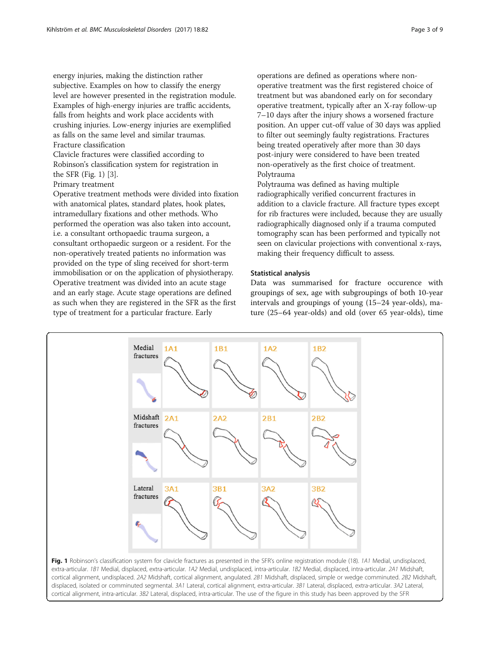energy injuries, making the distinction rather subjective. Examples on how to classify the energy level are however presented in the registration module. Examples of high-energy injuries are traffic accidents, falls from heights and work place accidents with crushing injuries. Low-energy injuries are exemplified as falls on the same level and similar traumas. Fracture classification

Clavicle fractures were classified according to Robinson's classification system for registration in the SFR (Fig. 1) [[3](#page-8-0)].

Primary treatment

Operative treatment methods were divided into fixation with anatomical plates, standard plates, hook plates, intramedullary fixations and other methods. Who performed the operation was also taken into account, i.e. a consultant orthopaedic trauma surgeon, a consultant orthopaedic surgeon or a resident. For the non-operatively treated patients no information was provided on the type of sling received for short-term immobilisation or on the application of physiotherapy. Operative treatment was divided into an acute stage and an early stage. Acute stage operations are defined as such when they are registered in the SFR as the first type of treatment for a particular fracture. Early

operations are defined as operations where nonoperative treatment was the first registered choice of treatment but was abandoned early on for secondary operative treatment, typically after an X-ray follow-up 7–10 days after the injury shows a worsened fracture position. An upper cut-off value of 30 days was applied to filter out seemingly faulty registrations. Fractures being treated operatively after more than 30 days post-injury were considered to have been treated non-operatively as the first choice of treatment. Polytrauma

Polytrauma was defined as having multiple radiographically verified concurrent fractures in addition to a clavicle fracture. All fracture types except for rib fractures were included, because they are usually radiographically diagnosed only if a trauma computed tomography scan has been performed and typically not seen on clavicular projections with conventional x-rays, making their frequency difficult to assess.

# Statistical analysis

Data was summarised for fracture occurence with groupings of sex, age with subgroupings of both 10-year intervals and groupings of young (15–24 year-olds), mature (25–64 year-olds) and old (over 65 year-olds), time

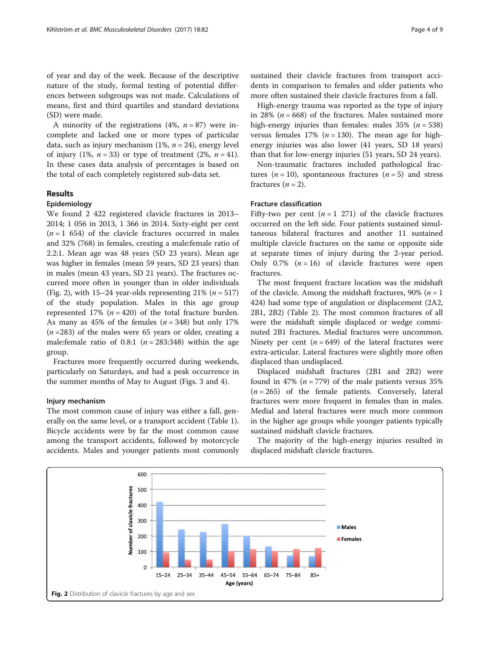of year and day of the week. Because of the descriptive nature of the study, formal testing of potential differences between subgroups was not made. Calculations of means, first and third quartiles and standard deviations (SD) were made.

A minority of the registrations  $(4\%, n = 87)$  were incomplete and lacked one or more types of particular data, such as injury mechanism  $(1\%, n = 24)$ , energy level of injury (1%,  $n = 33$ ) or type of treatment (2%,  $n = 41$ ). In these cases data analysis of percentages is based on the total of each completely registered sub-data set.

# Results

# Epidemiology

We found 2 422 registered clavicle fractures in 2013– 2014; 1 056 in 2013, 1 366 in 2014. Sixty-eight per cent  $(n = 1 654)$  of the clavicle fractures occurred in males and 32% (768) in females, creating a male:female ratio of 2.2:1. Mean age was 48 years (SD 23 years). Mean age was higher in females (mean 59 years, SD 23 years) than in males (mean 43 years, SD 21 years). The fractures occurred more often in younger than in older individuals (Fig. 2), with  $15-24$  year-olds representing  $21\%$  ( $n = 517$ ) of the study population. Males in this age group represented 17% ( $n = 420$ ) of the total fracture burden. As many as 45% of the females  $(n = 348)$  but only 17%  $(n=283)$  of the males were 65 years or older, creating a male: female ratio of 0.8:1 ( $n = 283:348$ ) within the age group.

Fractures more frequently occurred during weekends, particularly on Saturdays, and had a peak occurrence in the summer months of May to August (Figs. [3](#page-4-0) and [4](#page-4-0)).

# Injury mechanism

The most common cause of injury was either a fall, generally on the same level, or a transport accident (Table [1](#page-5-0)). Bicycle accidents were by far the most common cause among the transport accidents, followed by motorcycle accidents. Males and younger patients most commonly sustained their clavicle fractures from transport accidents in comparison to females and older patients who more often sustained their clavicle fractures from a fall.

High-energy trauma was reported as the type of injury in 28% ( $n = 668$ ) of the fractures. Males sustained more high-energy injuries than females: males  $35\%$  ( $n = 538$ ) versus females 17% ( $n = 130$ ). The mean age for highenergy injuries was also lower (41 years, SD 18 years) than that for low-energy injuries (51 years, SD 24 years).

Non-traumatic fractures included pathological fractures ( $n = 10$ ), spontaneous fractures ( $n = 5$ ) and stress fractures  $(n = 2)$ .

#### Fracture classification

Fifty-two per cent  $(n = 1 271)$  of the clavicle fractures occurred on the left side. Four patients sustained simultaneous bilateral fractures and another 11 sustained multiple clavicle fractures on the same or opposite side at separate times of injury during the 2-year period. Only 0.7%  $(n = 16)$  of clavicle fractures were open fractures.

The most frequent fracture location was the midshaft of the clavicle. Among the midshaft fractures, 90% ( $n = 1$ ) 424) had some type of angulation or displacement (2A2, 2B1, 2B2) (Table [2](#page-5-0)). The most common fractures of all were the midshaft simple displaced or wedge comminuted 2B1 fractures. Medial fractures were uncommon. Ninety per cent  $(n = 649)$  of the lateral fractures were extra-articular. Lateral fractures were slightly more often displaced than undisplaced.

Displaced midshaft fractures (2B1 and 2B2) were found in 47% ( $n = 779$ ) of the male patients versus 35%  $(n = 265)$  of the female patients. Conversely, lateral fractures were more frequent in females than in males. Medial and lateral fractures were much more common in the higher age groups while younger patients typically sustained midshaft clavicle fractures.

The majority of the high-energy injuries resulted in displaced midshaft clavicle fractures.

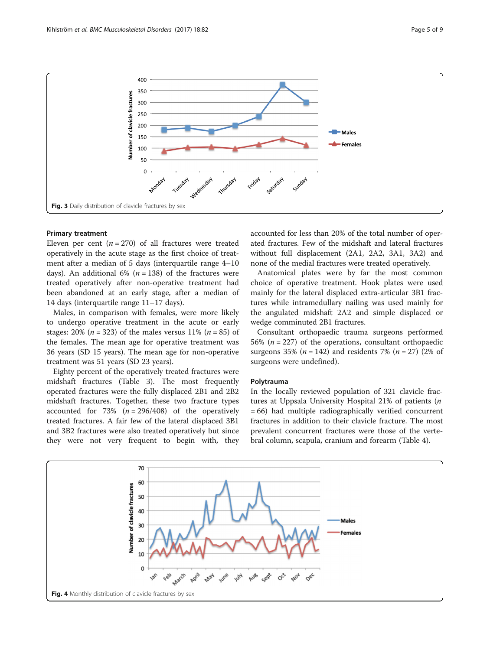<span id="page-4-0"></span>

### Primary treatment

Eleven per cent ( $n = 270$ ) of all fractures were treated operatively in the acute stage as the first choice of treatment after a median of 5 days (interquartile range 4–10 days). An additional 6% ( $n = 138$ ) of the fractures were treated operatively after non-operative treatment had been abandoned at an early stage, after a median of 14 days (interquartile range 11–17 days).

Males, in comparison with females, were more likely to undergo operative treatment in the acute or early stages: 20% ( $n = 323$ ) of the males versus 11% ( $n = 85$ ) of the females. The mean age for operative treatment was 36 years (SD 15 years). The mean age for non-operative treatment was 51 years (SD 23 years).

Eighty percent of the operatively treated fractures were midshaft fractures (Table [3\)](#page-6-0). The most frequently operated fractures were the fully displaced 2B1 and 2B2 midshaft fractures. Together, these two fracture types accounted for 73%  $(n = 296/408)$  of the operatively treated fractures. A fair few of the lateral displaced 3B1 and 3B2 fractures were also treated operatively but since they were not very frequent to begin with, they

accounted for less than 20% of the total number of operated fractures. Few of the midshaft and lateral fractures without full displacement (2A1, 2A2, 3A1, 3A2) and none of the medial fractures were treated operatively.

Anatomical plates were by far the most common choice of operative treatment. Hook plates were used mainly for the lateral displaced extra-articular 3B1 fractures while intramedullary nailing was used mainly for the angulated midshaft 2A2 and simple displaced or wedge comminuted 2B1 fractures.

Consultant orthopaedic trauma surgeons performed 56% ( $n = 227$ ) of the operations, consultant orthopaedic surgeons 35% ( $n = 142$ ) and residents 7% ( $n = 27$ ) (2% of surgeons were undefined).

#### Polytrauma

In the locally reviewed population of 321 clavicle fractures at Uppsala University Hospital 21% of patients (n = 66) had multiple radiographically verified concurrent fractures in addition to their clavicle fracture. The most prevalent concurrent fractures were those of the vertebral column, scapula, cranium and forearm (Table [4](#page-6-0)).

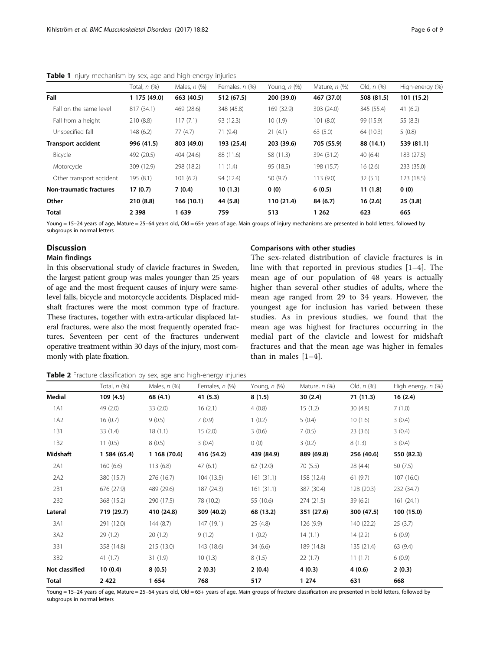|                                | Total, n (%) | Males, $n$ $(\%)$ | Females, n (%) | Young, n (%) | Mature, $n$ $(\%)$ | Old, $n$ $(\%)$ | High-energy (%) |
|--------------------------------|--------------|-------------------|----------------|--------------|--------------------|-----------------|-----------------|
| Fall                           | 1 175 (49.0) | 663 (40.5)        | 512 (67.5)     | 200 (39.0)   | 467 (37.0)         | 508 (81.5)      | 101 (15.2)      |
| Fall on the same level         | 817 (34.1)   | 469 (28.6)        | 348 (45.8)     | 169 (32.9)   | 303 (24.0)         | 345 (55.4)      | 41(6.2)         |
| Fall from a height             | 210(8.8)     | 117(7.1)          | 93 (12.3)      | 10(1.9)      | 101(8.0)           | 99 (15.9)       | 55(8.3)         |
| Unspecified fall               | 148(6.2)     | 77(4.7)           | 71(9.4)        | 21(4.1)      | 63(5.0)            | 64 (10.3)       | 5(0.8)          |
| <b>Transport accident</b>      | 996 (41.5)   | 803 (49.0)        | 193 (25.4)     | 203 (39.6)   | 705 (55.9)         | 88 (14.1)       | 539 (81.1)      |
| Bicycle                        | 492 (20.5)   | 404 (24.6)        | 88 (11.6)      | 58 (11.3)    | 394 (31.2)         | 40(6.4)         | 183 (27.5)      |
| Motorcycle                     | 309 (12.9)   | 298 (18.2)        | 11(1.4)        | 95 (18.5)    | 198 (15.7)         | 16(2.6)         | 233 (35.0)      |
| Other transport accident       | 195 (8.1)    | 101(6.2)          | 94 (12.4)      | 50 (9.7)     | 113(9.0)           | 32(5.1)         | 123 (18.5)      |
| <b>Non-traumatic fractures</b> | 17(0.7)      | 7(0.4)            | 10(1.3)        | 0(0)         | 6(0.5)             | 11(1.8)         | 0(0)            |
| Other                          | 210(8.8)     | 166(10.1)         | 44 (5.8)       | 110 (21.4)   | 84 (6.7)           | 16(2.6)         | 25(3.8)         |
| <b>Total</b>                   | 2 3 9 8      | 1 639             | 759            | 513          | 1 2 6 2            | 623             | 665             |

<span id="page-5-0"></span>Table 1 Injury mechanism by sex, age and high-energy injuries

Young = 15-24 years of age, Mature = 25-64 years old, Old = 65+ years of age. Main groups of injury mechanisms are presented in bold letters, followed by subgroups in normal letters

# **Discussion**

#### Main findings

In this observational study of clavicle fractures in Sweden, the largest patient group was males younger than 25 years of age and the most frequent causes of injury were samelevel falls, bicycle and motorcycle accidents. Displaced midshaft fractures were the most common type of fracture. These fractures, together with extra-articular displaced lateral fractures, were also the most frequently operated fractures. Seventeen per cent of the fractures underwent operative treatment within 30 days of the injury, most commonly with plate fixation.

#### Comparisons with other studies

The sex-related distribution of clavicle fractures is in line with that reported in previous studies [\[1](#page-8-0)–[4](#page-8-0)]. The mean age of our population of 48 years is actually higher than several other studies of adults, where the mean age ranged from 29 to 34 years. However, the youngest age for inclusion has varied between these studies. As in previous studies, we found that the mean age was highest for fractures occurring in the medial part of the clavicle and lowest for midshaft fractures and that the mean age was higher in females than in males [\[1](#page-8-0)–[4](#page-8-0)].

| Table 2 Fracture classification by sex, age and high-energy injuries |  |  |  |
|----------------------------------------------------------------------|--|--|--|
|----------------------------------------------------------------------|--|--|--|

|                 | Total, n (%) | Males, $n$ $(\%)$ | Females, n (%) | Young, n (%) | Mature, $n$ (%) | Old, $n$ $(\%)$ | High energy, n (%) |
|-----------------|--------------|-------------------|----------------|--------------|-----------------|-----------------|--------------------|
| <b>Medial</b>   | 109 (4.5)    | 68 (4.1)          | 41 (5.3)       | 8(1.5)       | 30(2.4)         | 71 (11.3)       | 16(2.4)            |
| 1A1             | 49 (2.0)     | 33(2.0)           | 16(2.1)        | 4(0.8)       | 15(1.2)         | 30(4.8)         | 7(1.0)             |
| 1A2             | 16(0.7)      | 9(0.5)            | 7(0.9)         | 1(0.2)       | 5(0.4)          | 10(1.6)         | 3(0.4)             |
| 1B1             | 33(1.4)      | 18(1.1)           | 15(2.0)        | 3(0.6)       | 7(0.5)          | 23(3.6)         | 3(0.4)             |
| 1B <sub>2</sub> | 11(0.5)      | 8(0.5)            | 3(0.4)         | (0)          | 3(0.2)          | 8(1.3)          | 3(0.4)             |
| Midshaft        | 1 584 (65.4) | 1 168 (70.6)      | 416 (54.2)     | 439 (84.9)   | 889 (69.8)      | 256 (40.6)      | 550 (82.3)         |
| 2A1             | 160(6.6)     | 113(6.8)          | 47(6.1)        | 62 (12.0)    | 70(5.5)         | 28 (4.4)        | 50(7.5)            |
| 2A2             | 380 (15.7)   | 276 (16.7)        | 104(13.5)      | 161(31.1)    | 158 (12.4)      | 61(9.7)         | 107(16.0)          |
| 2B1             | 676 (27.9)   | 489 (29.6)        | 187 (24.3)     | 161(31.1)    | 387 (30.4)      | 128 (20.3)      | 232 (34.7)         |
| 2B2             | 368 (15.2)   | 290 (17.5)        | 78 (10.2)      | 55 (10.6)    | 274 (21.5)      | 39(6.2)         | 161(24.1)          |
| Lateral         | 719 (29.7)   | 410 (24.8)        | 309 (40.2)     | 68 (13.2)    | 351 (27.6)      | 300 (47.5)      | 100 (15.0)         |
| 3A1             | 291 (12.0)   | 144(8.7)          | 147 (19.1)     | 25(4.8)      | 126 (9.9)       | 140 (22.2)      | 25(3.7)            |
| 3A2             | 29(1.2)      | 20(1.2)           | 9(1.2)         | 1(0.2)       | 14(1.1)         | 14(2.2)         | 6(0.9)             |
| 3B1             | 358 (14.8)   | 215 (13.0)        | 143 (18.6)     | 34(6.6)      | 189 (14.8)      | 135(21.4)       | 63(9.4)            |
| 3B2             | 41(1.7)      | 31(1.9)           | 10(1.3)        | 8(1.5)       | 22(1.7)         | 11(1.7)         | 6(0.9)             |
| Not classified  | 10(0.4)      | 8(0.5)            | 2(0.3)         | 2(0.4)       | 4(0.3)          | 4(0.6)          | 2(0.3)             |
| <b>Total</b>    | 2422         | 1654              | 768            | 517          | 1 274           | 631             | 668                |

Young = 15-24 years of age, Mature = 25-64 years old, Old = 65+ years of age. Main groups of fracture classification are presented in bold letters, followed by subgroups in normal letters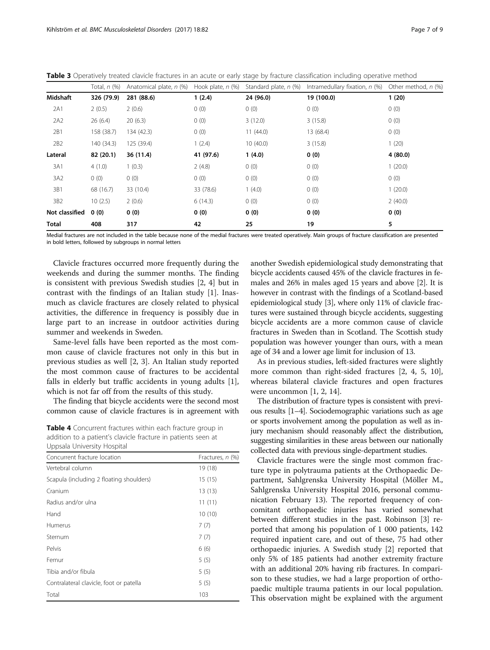<span id="page-6-0"></span>Table 3 Operatively treated clavicle fractures in an acute or early stage by fracture classification including operative method

|                | Total, $n$ $(\%)$ | Anatomical plate, n (%) Hook plate, n (%) |           |           | Standard plate, n (%) Intramedullary fixation, n (%) Other method, n (%) |         |
|----------------|-------------------|-------------------------------------------|-----------|-----------|--------------------------------------------------------------------------|---------|
| Midshaft       | 326 (79.9)        | 281 (88.6)                                | 1(2.4)    | 24 (96.0) | 19 (100.0)                                                               | 1(20)   |
| 2A1            | 2(0.5)            | 2(0.6)                                    | 0(0)      | 0(0)      | 0(0)                                                                     | 0(0)    |
| 2A2            | 26(6.4)           | 20(6.3)                                   | 0(0)      | 3(12.0)   | 3(15.8)                                                                  | 0(0)    |
| 2B1            | 158 (38.7)        | 134 (42.3)                                | 0(0)      | 11(44.0)  | 13 (68.4)                                                                | 0(0)    |
| 2B2            | 140 (34.3)        | 125 (39.4)                                | 1(2.4)    | 10(40.0)  | 3(15.8)                                                                  | 1(20)   |
| Lateral        | 82 (20.1)         | 36 (11.4)                                 | 41 (97.6) | 1(4.0)    | 0(0)                                                                     | 4(80.0) |
| 3A1            | 4(1.0)            | 1(0.3)                                    | 2(4.8)    | 0(0)      | 0(0)                                                                     | 1(20.0) |
| 3A2            | 0(0)              | 0(0)                                      | 0(0)      | 0(0)      | 0(0)                                                                     | 0(0)    |
| 3B1            | 68 (16.7)         | 33 (10.4)                                 | 33 (78.6) | 1(4.0)    | 0(0)                                                                     | 1(20.0) |
| 3B2            | 10(2.5)           | 2(0.6)                                    | 6(14.3)   | 0(0)      | 0(0)                                                                     | 2(40.0) |
| Not classified | 0(0)              | 0(0)                                      | 0(0)      | 0(0)      | 0(0)                                                                     | 0(0)    |
| <b>Total</b>   | 408               | 317                                       | 42        | 25        | 19                                                                       | 5       |

Medial fractures are not included in the table because none of the medial fractures were treated operatively. Main groups of fracture classification are presented in bold letters, followed by subgroups in normal letters

Clavicle fractures occurred more frequently during the weekends and during the summer months. The finding is consistent with previous Swedish studies [[2, 4\]](#page-8-0) but in contrast with the findings of an Italian study [\[1](#page-8-0)]. Inasmuch as clavicle fractures are closely related to physical activities, the difference in frequency is possibly due in large part to an increase in outdoor activities during summer and weekends in Sweden.

Same-level falls have been reported as the most common cause of clavicle fractures not only in this but in previous studies as well [\[2](#page-8-0), [3\]](#page-8-0). An Italian study reported the most common cause of fractures to be accidental falls in elderly but traffic accidents in young adults [\[1](#page-8-0)], which is not far off from the results of this study.

The finding that bicycle accidents were the second most common cause of clavicle fractures is in agreement with

**Table 4** Concurrent fractures within each fracture group in addition to a patient's clavicle fracture in patients seen at Uppsala University Hospital

| Concurrent fracture location             | Fractures, n (%) |
|------------------------------------------|------------------|
| Vertebral column                         | 19 (18)          |
| Scapula (including 2 floating shoulders) | 15(15)           |
| Cranium                                  | 13(13)           |
| Radius and/or ulna                       | 11(11)           |
| Hand                                     | 10(10)           |
| Humerus                                  | 7(7)             |
| Sternum                                  | 7(7)             |
| Pelvis                                   | 6(6)             |
| Femur                                    | 5(5)             |
| Tibia and/or fibula                      | 5(5)             |
| Contralateral clavicle, foot or patella  | 5(5)             |
| Total                                    | 103              |

another Swedish epidemiological study demonstrating that bicycle accidents caused 45% of the clavicle fractures in females and 26% in males aged 15 years and above [[2\]](#page-8-0). It is however in contrast with the findings of a Scotland-based epidemiological study [[3\]](#page-8-0), where only 11% of clavicle fractures were sustained through bicycle accidents, suggesting bicycle accidents are a more common cause of clavicle fractures in Sweden than in Scotland. The Scottish study population was however younger than ours, with a mean age of 34 and a lower age limit for inclusion of 13.

As in previous studies, left-sided fractures were slightly more common than right-sided fractures [[2, 4, 5](#page-8-0), [10](#page-8-0)], whereas bilateral clavicle fractures and open fractures were uncommon [\[1](#page-8-0), [2](#page-8-0), [14](#page-8-0)].

The distribution of fracture types is consistent with previous results [\[1](#page-8-0)–[4](#page-8-0)]. Sociodemographic variations such as age or sports involvement among the population as well as injury mechanism should reasonably affect the distribution, suggesting similarities in these areas between our nationally collected data with previous single-department studies.

Clavicle fractures were the single most common fracture type in polytrauma patients at the Orthopaedic Department, Sahlgrenska University Hospital (Möller M., Sahlgrenska University Hospital 2016, personal communication February 13). The reported frequency of concomitant orthopaedic injuries has varied somewhat between different studies in the past. Robinson [\[3](#page-8-0)] reported that among his population of 1 000 patients, 142 required inpatient care, and out of these, 75 had other orthopaedic injuries. A Swedish study [\[2](#page-8-0)] reported that only 5% of 185 patients had another extremity fracture with an additional 20% having rib fractures. In comparison to these studies, we had a large proportion of orthopaedic multiple trauma patients in our local population. This observation might be explained with the argument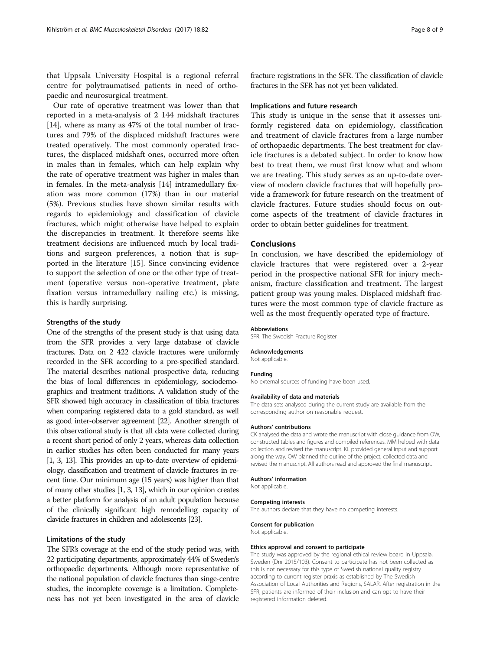that Uppsala University Hospital is a regional referral centre for polytraumatised patients in need of orthopaedic and neurosurgical treatment.

Our rate of operative treatment was lower than that reported in a meta-analysis of 2 144 midshaft fractures [[14\]](#page-8-0), where as many as 47% of the total number of fractures and 79% of the displaced midshaft fractures were treated operatively. The most commonly operated fractures, the displaced midshaft ones, occurred more often in males than in females, which can help explain why the rate of operative treatment was higher in males than in females. In the meta-analysis [\[14\]](#page-8-0) intramedullary fixation was more common (17%) than in our material (5%). Previous studies have shown similar results with regards to epidemiology and classification of clavicle fractures, which might otherwise have helped to explain the discrepancies in treatment. It therefore seems like treatment decisions are influenced much by local traditions and surgeon preferences, a notion that is supported in the literature [\[15](#page-8-0)]. Since convincing evidence to support the selection of one or the other type of treatment (operative versus non-operative treatment, plate fixation versus intramedullary nailing etc.) is missing, this is hardly surprising.

#### Strengths of the study

One of the strengths of the present study is that using data from the SFR provides a very large database of clavicle fractures. Data on 2 422 clavicle fractures were uniformly recorded in the SFR according to a pre-specified standard. The material describes national prospective data, reducing the bias of local differences in epidemiology, sociodemographics and treatment traditions. A validation study of the SFR showed high accuracy in classification of tibia fractures when comparing registered data to a gold standard, as well as good inter-observer agreement [[22\]](#page-8-0). Another strength of this observational study is that all data were collected during a recent short period of only 2 years, whereas data collection in earlier studies has often been conducted for many years [[1](#page-8-0), [3](#page-8-0), [13](#page-8-0)]. This provides an up-to-date overview of epidemiology, classification and treatment of clavicle fractures in recent time. Our minimum age (15 years) was higher than that of many other studies [\[1, 3](#page-8-0), [13\]](#page-8-0), which in our opinion creates a better platform for analysis of an adult population because of the clinically significant high remodelling capacity of clavicle fractures in children and adolescents [[23\]](#page-8-0).

#### Limitations of the study

The SFR's coverage at the end of the study period was, with 22 participating departments, approximately 44% of Sweden's orthopaedic departments. Although more representative of the national population of clavicle fractures than singe-centre studies, the incomplete coverage is a limitation. Completeness has not yet been investigated in the area of clavicle fracture registrations in the SFR. The classification of clavicle fractures in the SFR has not yet been validated.

#### Implications and future research

This study is unique in the sense that it assesses uniformly registered data on epidemiology, classification and treatment of clavicle fractures from a large number of orthopaedic departments. The best treatment for clavicle fractures is a debated subject. In order to know how best to treat them, we must first know what and whom we are treating. This study serves as an up-to-date overview of modern clavicle fractures that will hopefully provide a framework for future research on the treatment of clavicle fractures. Future studies should focus on outcome aspects of the treatment of clavicle fractures in order to obtain better guidelines for treatment.

#### Conclusions

In conclusion, we have described the epidemiology of clavicle fractures that were registered over a 2-year period in the prospective national SFR for injury mechanism, fracture classification and treatment. The largest patient group was young males. Displaced midshaft fractures were the most common type of clavicle fracture as well as the most frequently operated type of fracture.

#### Abbreviations

SFR: The Swedish Fracture Register

#### Acknowledgements

Not applicable.

#### Funding

No external sources of funding have been used.

#### Availability of data and materials

The data sets analysed during the current study are available from the corresponding author on reasonable request.

#### Authors' contributions

CK analysed the data and wrote the manuscript with close guidance from OW, constructed tables and figures and compiled references. MM helped with data collection and revised the manuscript. KL provided general input and support along the way. OW planned the outline of the project, collected data and revised the manuscript. All authors read and approved the final manuscript.

#### Authors' information

Not applicable.

#### Competing interests

The authors declare that they have no competing interests.

#### Consent for publication

Not applicable.

#### Ethics approval and consent to participate

The study was approved by the regional ethical review board in Uppsala, Sweden (Dnr 2015/103). Consent to participate has not been collected as this is not necessary for this type of Swedish national quality registry according to current register praxis as established by The Swedish Association of Local Authorities and Regions, SALAR. After registration in the SFR, patients are informed of their inclusion and can opt to have their registered information deleted.